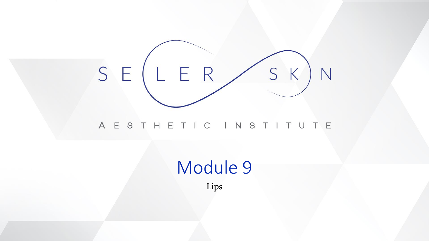

### A E S T H E T I C I N S T I T U T E

# Module 9

Lips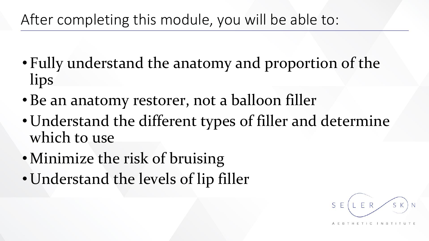# After completing this module, you will be able to:

- Fully understand the anatomy and proportion of the lips
- Be an anatomy restorer, not a balloon filler
- Understand the different types of filler and determine which to use
- •Minimize the risk of bruising
- Understand the levels of lip filler

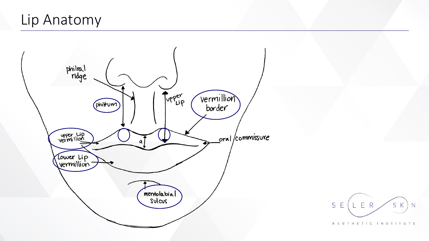# Lip Anatomy



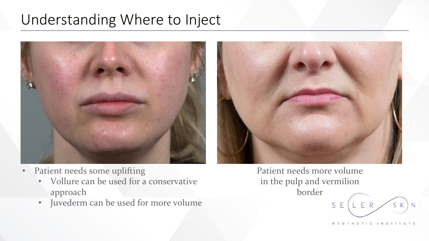# Understanding Where to Inject



- Patient needs some uplifting
	- Vollure can be used for a conservative approach
	- Juvederm can be used for more volume

Patient needs more volume in the pulp and vermilion

border

A E S T H E T I C I N S T I T U T E

SK

ER

 $S$   $F$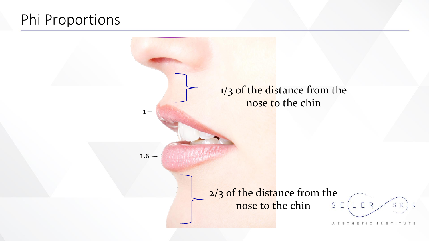# Phi Proportions

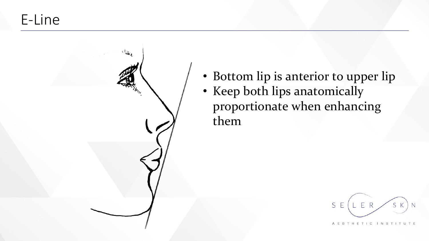E-Line



• Bottom lip is anterior to upper lip • Keep both lips anatomically proportionate when enhancing them

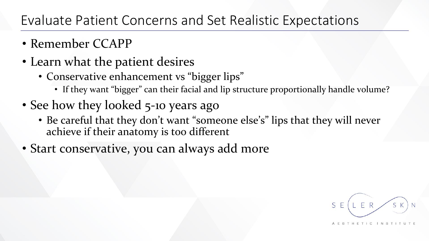## Evaluate Patient Concerns and Set Realistic Expectations

- Remember CCAPP
- Learn what the patient desires
	- Conservative enhancement vs "bigger lips"
		- If they want "bigger" can their facial and lip structure proportionally handle volume?
- See how they looked 5-10 years ago
	- Be careful that they don't want "someone else's" lips that they will never achieve if their anatomy is too different
- Start conservative, you can always add more

 $E$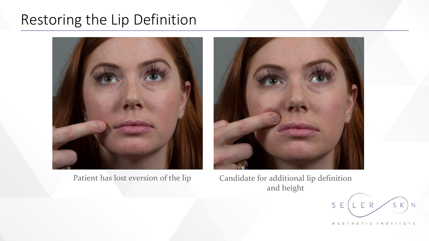# Restoring the Lip Definition





Patient has lost eversion of the lip Candidate for additional lip definition and height

ER S E SK N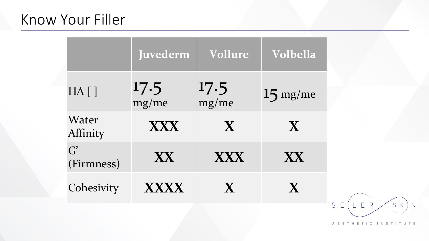# Know Your Filler

|                               | Juvederm      | Vollure       | Volbella     |
|-------------------------------|---------------|---------------|--------------|
| $HA$ []                       | 17.5<br>mg/me | 17.5<br>mg/me | $15$ mg/me   |
| Water<br>Affinity             | <b>XXX</b>    | $\mathbf{X}$  | $\mathbf{X}$ |
| $\overline{G}'$<br>(Firmness) | <b>XX</b>     | XXX           | XX.          |
| Cohesivity                    | <b>XXXX</b>   | X             | X            |

LER  $S$   $E$  $(S K) N$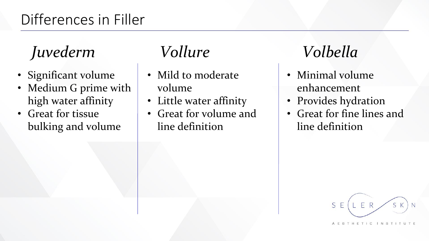# Differences in Filler

# *Juvederm Vollure Volbella*

- Significant volume
- Medium G prime with high water affinity
- Great for tissue bulking and volume

- Mild to moderate volume
- Little water affinity
- Great for volume and line definition

- Minimal volume enhancement
- Provides hydration
- Great for fine lines and line definition

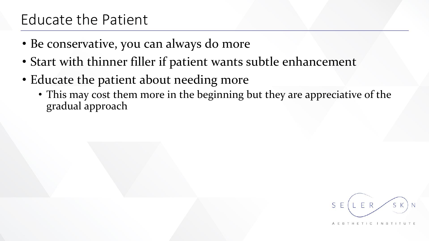# Educate the Patient

- Be conservative, you can always do more
- Start with thinner filler if patient wants subtle enhancement
- Educate the patient about needing more
	- This may cost them more in the beginning but they are appreciative of the gradual approach

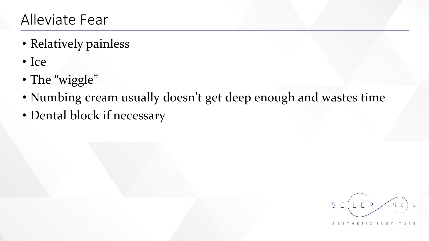- Relatively painless
- Ice
- The "wiggle"
- Numbing cream usually doesn't get deep enough and wastes time
- Dental block if necessary

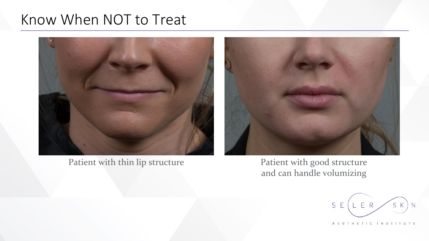# Know When NOT to Treat



Patient with thin lip structure



Patient with good structure and can handle volumizing

ER S E SK N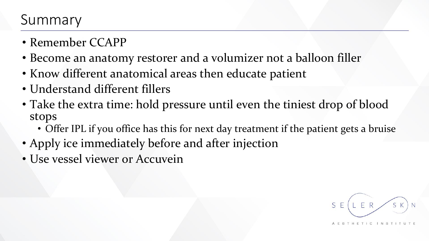## Summary

- Remember CCAPP
- Become an anatomy restorer and a volumizer not a balloon filler
- Know different anatomical areas then educate patient
- Understand different fillers
- Take the extra time: hold pressure until even the tiniest drop of blood stops
	- Offer IPL if you office has this for next day treatment if the patient gets a bruise
- Apply ice immediately before and after injection
- Use vessel viewer or Accuvein

ER